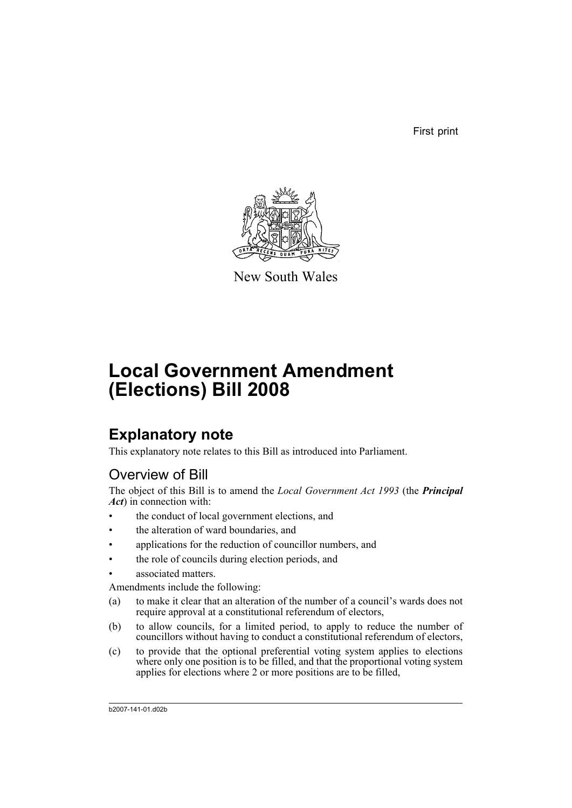First print



New South Wales

# **Local Government Amendment (Elections) Bill 2008**

# **Explanatory note**

This explanatory note relates to this Bill as introduced into Parliament.

### Overview of Bill

The object of this Bill is to amend the *Local Government Act 1993* (the *Principal Act*) in connection with:

- the conduct of local government elections, and
- the alteration of ward boundaries, and
- applications for the reduction of councillor numbers, and
- the role of councils during election periods, and
- associated matters.

Amendments include the following:

- (a) to make it clear that an alteration of the number of a council's wards does not require approval at a constitutional referendum of electors,
- (b) to allow councils, for a limited period, to apply to reduce the number of councillors without having to conduct a constitutional referendum of electors,
- (c) to provide that the optional preferential voting system applies to elections where only one position is to be filled, and that the proportional voting system applies for elections where 2 or more positions are to be filled,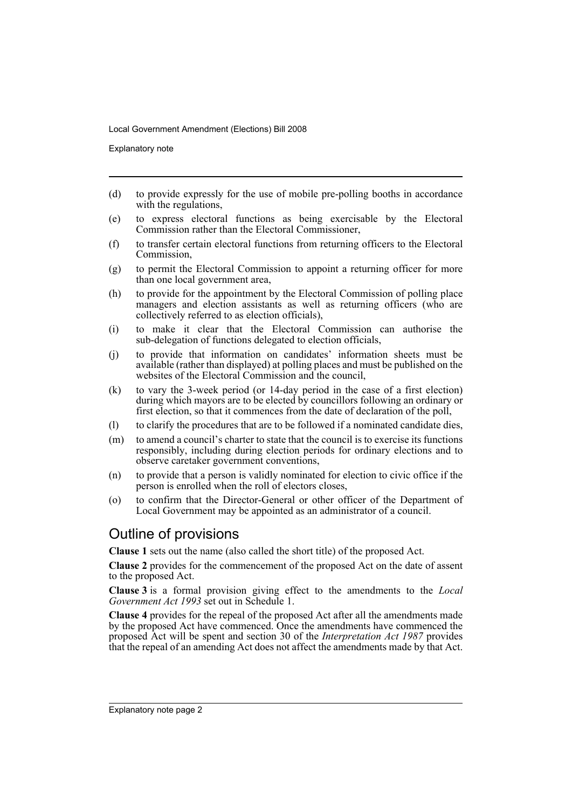Explanatory note

- (d) to provide expressly for the use of mobile pre-polling booths in accordance with the regulations,
- (e) to express electoral functions as being exercisable by the Electoral Commission rather than the Electoral Commissioner,
- (f) to transfer certain electoral functions from returning officers to the Electoral Commission,
- (g) to permit the Electoral Commission to appoint a returning officer for more than one local government area,
- (h) to provide for the appointment by the Electoral Commission of polling place managers and election assistants as well as returning officers (who are collectively referred to as election officials),
- (i) to make it clear that the Electoral Commission can authorise the sub-delegation of functions delegated to election officials,
- (j) to provide that information on candidates' information sheets must be available (rather than displayed) at polling places and must be published on the websites of the Electoral Commission and the council,
- (k) to vary the 3-week period (or 14-day period in the case of a first election) during which mayors are to be elected by councillors following an ordinary or first election, so that it commences from the date of declaration of the poll,
- (l) to clarify the procedures that are to be followed if a nominated candidate dies,
- (m) to amend a council's charter to state that the council is to exercise its functions responsibly, including during election periods for ordinary elections and to observe caretaker government conventions,
- (n) to provide that a person is validly nominated for election to civic office if the person is enrolled when the roll of electors closes,
- (o) to confirm that the Director-General or other officer of the Department of Local Government may be appointed as an administrator of a council.

### Outline of provisions

**Clause 1** sets out the name (also called the short title) of the proposed Act.

**Clause 2** provides for the commencement of the proposed Act on the date of assent to the proposed Act.

**Clause 3** is a formal provision giving effect to the amendments to the *Local Government Act 1993* set out in Schedule 1.

**Clause 4** provides for the repeal of the proposed Act after all the amendments made by the proposed Act have commenced. Once the amendments have commenced the proposed Act will be spent and section 30 of the *Interpretation Act 1987* provides that the repeal of an amending Act does not affect the amendments made by that Act.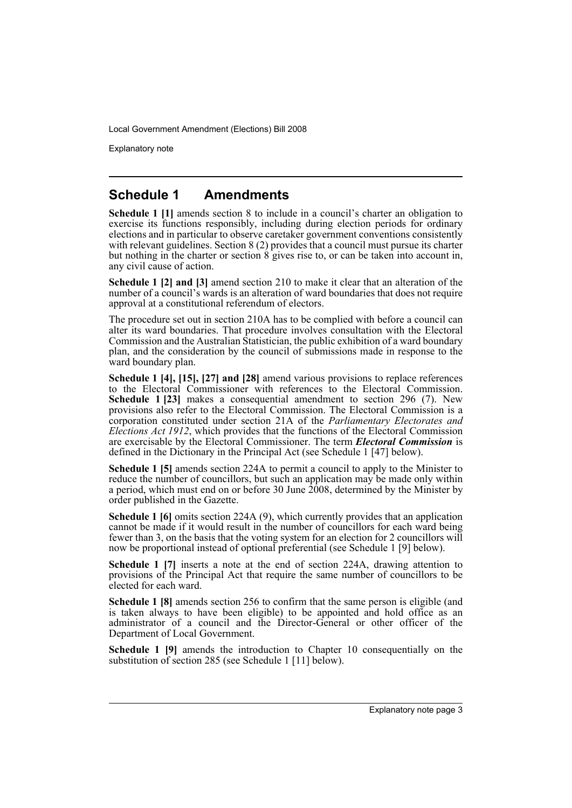Explanatory note

### **Schedule 1 Amendments**

**Schedule 1 [1]** amends section 8 to include in a council's charter an obligation to exercise its functions responsibly, including during election periods for ordinary elections and in particular to observe caretaker government conventions consistently with relevant guidelines. Section 8 (2) provides that a council must pursue its charter but nothing in the charter or section 8 gives rise to, or can be taken into account in, any civil cause of action.

**Schedule 1 [2] and [3]** amend section 210 to make it clear that an alteration of the number of a council's wards is an alteration of ward boundaries that does not require approval at a constitutional referendum of electors.

The procedure set out in section 210A has to be complied with before a council can alter its ward boundaries. That procedure involves consultation with the Electoral Commission and the Australian Statistician, the public exhibition of a ward boundary plan, and the consideration by the council of submissions made in response to the ward boundary plan.

**Schedule 1 [4], [15], [27] and [28]** amend various provisions to replace references to the Electoral Commissioner with references to the Electoral Commission. **Schedule 1 [23]** makes a consequential amendment to section 296 (7). New provisions also refer to the Electoral Commission. The Electoral Commission is a corporation constituted under section 21A of the *Parliamentary Electorates and Elections Act 1912*, which provides that the functions of the Electoral Commission are exercisable by the Electoral Commissioner. The term *Electoral Commission* is defined in the Dictionary in the Principal Act (see Schedule 1 [47] below).

**Schedule 1 [5]** amends section 224A to permit a council to apply to the Minister to reduce the number of councillors, but such an application may be made only within a period, which must end on or before 30 June  $2008$ , determined by the Minister by order published in the Gazette.

**Schedule 1 [6]** omits section 224A (9), which currently provides that an application cannot be made if it would result in the number of councillors for each ward being fewer than 3, on the basis that the voting system for an election for 2 councillors will now be proportional instead of optional preferential (see Schedule 1 [9] below).

**Schedule 1 [7]** inserts a note at the end of section 224A, drawing attention to provisions of the Principal Act that require the same number of councillors to be elected for each ward.

**Schedule 1 [8]** amends section 256 to confirm that the same person is eligible (and is taken always to have been eligible) to be appointed and hold office as an administrator of a council and the Director-General or other officer of the Department of Local Government.

**Schedule 1 [9]** amends the introduction to Chapter 10 consequentially on the substitution of section 285 (see Schedule 1 [11] below).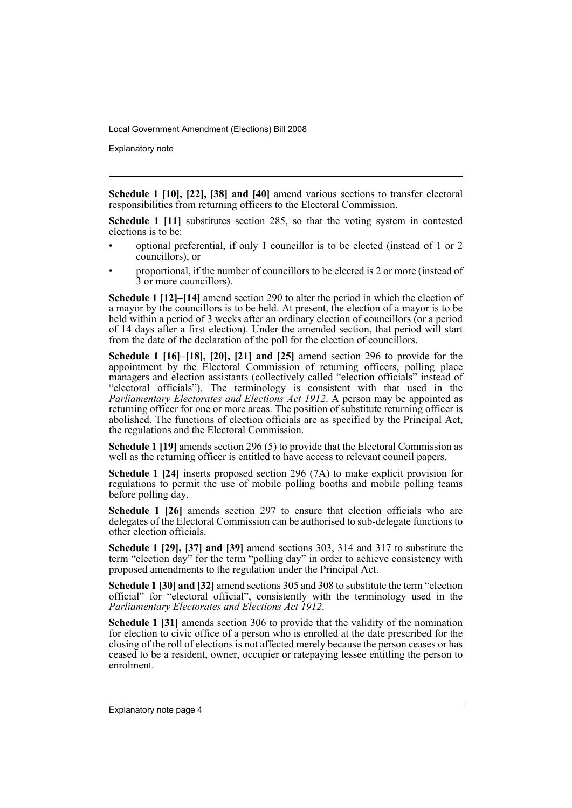Explanatory note

**Schedule 1 [10], [22], [38] and [40]** amend various sections to transfer electoral responsibilities from returning officers to the Electoral Commission.

**Schedule 1 [11]** substitutes section 285, so that the voting system in contested elections is to be:

- optional preferential, if only 1 councillor is to be elected (instead of 1 or 2 councillors), or
- proportional, if the number of councillors to be elected is 2 or more (instead of 3 or more councillors).

**Schedule 1 [12]–[14]** amend section 290 to alter the period in which the election of a mayor by the councillors is to be held. At present, the election of a mayor is to be held within a period of 3 weeks after an ordinary election of councillors (or a period of 14 days after a first election). Under the amended section, that period will start from the date of the declaration of the poll for the election of councillors.

**Schedule 1 [16]–[18], [20], [21] and [25]** amend section 296 to provide for the appointment by the Electoral Commission of returning officers, polling place managers and election assistants (collectively called "election officials" instead of "electoral officials"). The terminology is consistent with that used in the *Parliamentary Electorates and Elections Act 1912*. A person may be appointed as returning officer for one or more areas. The position of substitute returning officer is abolished. The functions of election officials are as specified by the Principal Act, the regulations and the Electoral Commission.

**Schedule 1 [19]** amends section 296 (5) to provide that the Electoral Commission as well as the returning officer is entitled to have access to relevant council papers.

**Schedule 1 [24]** inserts proposed section 296 (7A) to make explicit provision for regulations to permit the use of mobile polling booths and mobile polling teams before polling day.

**Schedule 1 [26]** amends section 297 to ensure that election officials who are delegates of the Electoral Commission can be authorised to sub-delegate functions to other election officials.

**Schedule 1 [29], [37] and [39]** amend sections 303, 314 and 317 to substitute the term "election day" for the term "polling day" in order to achieve consistency with proposed amendments to the regulation under the Principal Act.

**Schedule 1 [30] and [32]** amend sections 305 and 308 to substitute the term "election official" for "electoral official", consistently with the terminology used in the *Parliamentary Electorates and Elections Act 1912*.

**Schedule 1 [31]** amends section 306 to provide that the validity of the nomination for election to civic office of a person who is enrolled at the date prescribed for the closing of the roll of elections is not affected merely because the person ceases or has ceased to be a resident, owner, occupier or ratepaying lessee entitling the person to enrolment.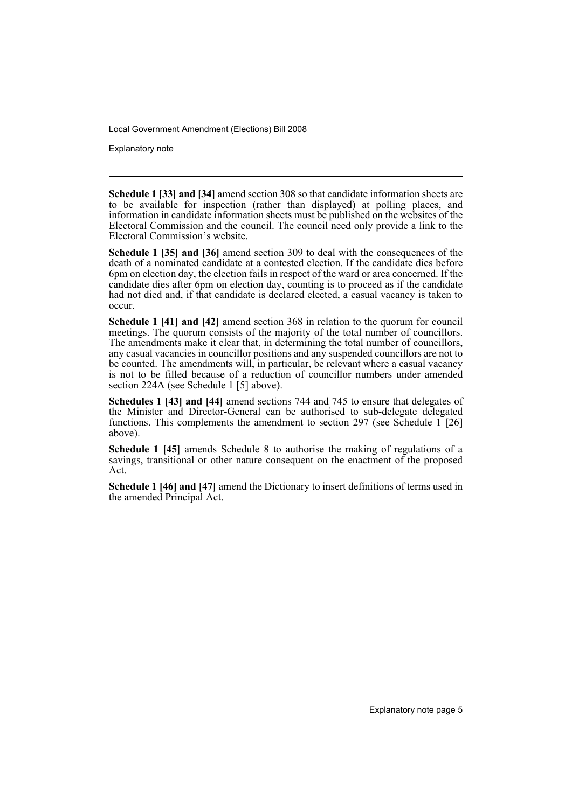Explanatory note

**Schedule 1 [33] and [34]** amend section 308 so that candidate information sheets are to be available for inspection (rather than displayed) at polling places, and information in candidate information sheets must be published on the websites of the Electoral Commission and the council. The council need only provide a link to the Electoral Commission's website.

**Schedule 1 [35] and [36]** amend section 309 to deal with the consequences of the death of a nominated candidate at a contested election. If the candidate dies before 6pm on election day, the election fails in respect of the ward or area concerned. If the candidate dies after 6pm on election day, counting is to proceed as if the candidate had not died and, if that candidate is declared elected, a casual vacancy is taken to occur.

**Schedule 1 [41] and [42]** amend section 368 in relation to the quorum for council meetings. The quorum consists of the majority of the total number of councillors. The amendments make it clear that, in determining the total number of councillors, any casual vacancies in councillor positions and any suspended councillors are not to be counted. The amendments will, in particular, be relevant where a casual vacancy is not to be filled because of a reduction of councillor numbers under amended section 224A (see Schedule 1 [5] above).

**Schedules 1 [43] and [44]** amend sections 744 and 745 to ensure that delegates of the Minister and Director-General can be authorised to sub-delegate delegated functions. This complements the amendment to section 297 (see Schedule 1 [26] above).

**Schedule 1 [45]** amends Schedule 8 to authorise the making of regulations of a savings, transitional or other nature consequent on the enactment of the proposed Act.

**Schedule 1 [46] and [47]** amend the Dictionary to insert definitions of terms used in the amended Principal Act.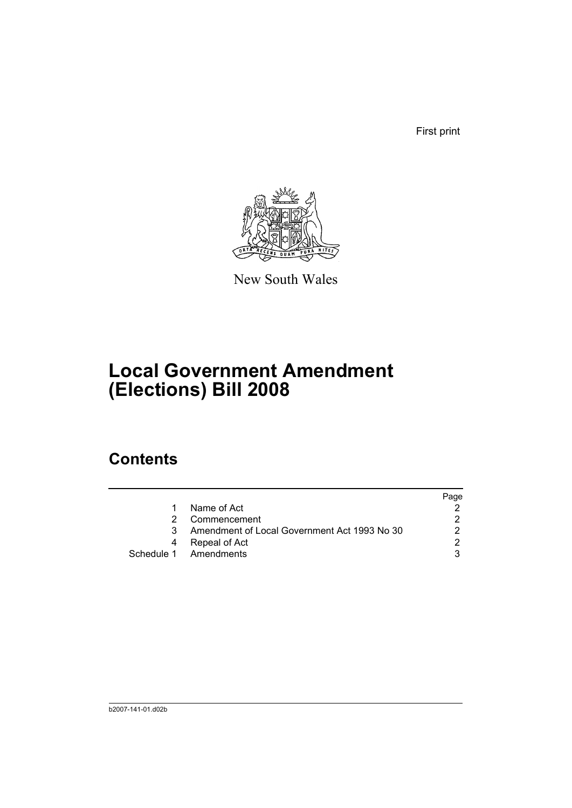First print



New South Wales

# **Local Government Amendment (Elections) Bill 2008**

# **Contents**

|                                              | Page |
|----------------------------------------------|------|
| Name of Act                                  |      |
| Commencement                                 |      |
| Amendment of Local Government Act 1993 No 30 |      |
| Repeal of Act                                |      |
| Schedule 1 Amendments                        |      |
|                                              |      |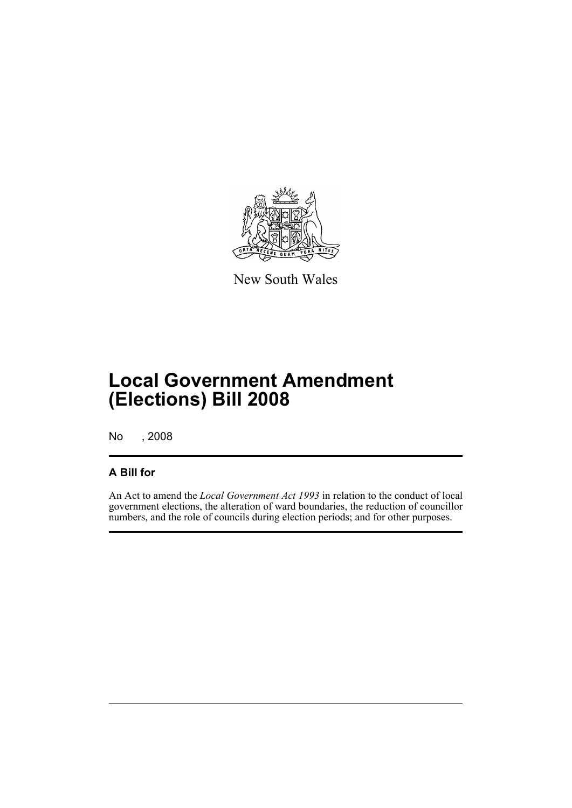

New South Wales

# **Local Government Amendment (Elections) Bill 2008**

No , 2008

### **A Bill for**

An Act to amend the *Local Government Act 1993* in relation to the conduct of local government elections, the alteration of ward boundaries, the reduction of councillor numbers, and the role of councils during election periods; and for other purposes.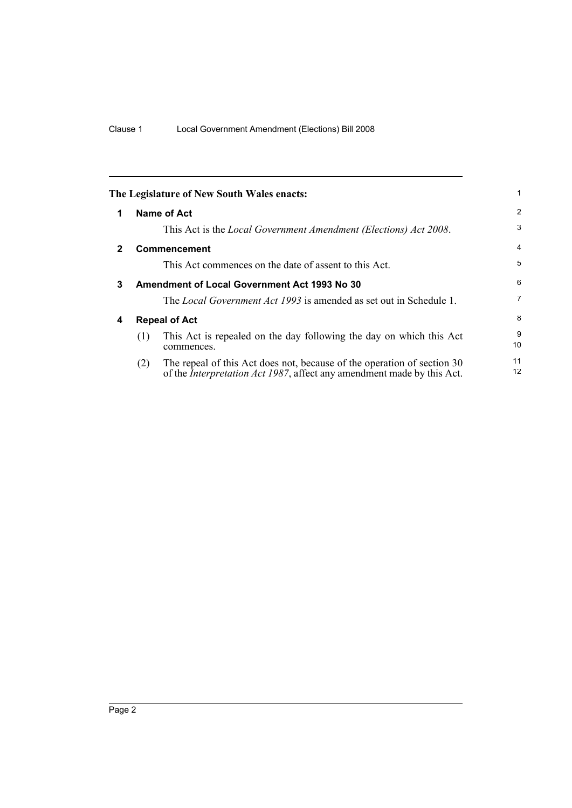<span id="page-9-3"></span><span id="page-9-2"></span><span id="page-9-1"></span><span id="page-9-0"></span>

|              | The Legislature of New South Wales enacts:                                                                                                                       |          |  |
|--------------|------------------------------------------------------------------------------------------------------------------------------------------------------------------|----------|--|
| 1            | Name of Act                                                                                                                                                      | 2        |  |
|              | This Act is the <i>Local Government Amendment (Elections) Act 2008</i> .                                                                                         | 3        |  |
| $\mathbf{2}$ | <b>Commencement</b>                                                                                                                                              | 4        |  |
|              | This Act commences on the date of assent to this Act.                                                                                                            | 5        |  |
| 3            | <b>Amendment of Local Government Act 1993 No 30</b>                                                                                                              | 6        |  |
|              | The <i>Local Government Act 1993</i> is amended as set out in Schedule 1.                                                                                        | 7        |  |
| 4            | <b>Repeal of Act</b>                                                                                                                                             |          |  |
|              | This Act is repealed on the day following the day on which this Act<br>(1)<br>commences.                                                                         | 9<br>10  |  |
|              | The repeal of this Act does not, because of the operation of section 30<br>(2)<br>of the <i>Interpretation Act 1987</i> , affect any amendment made by this Act. | 11<br>12 |  |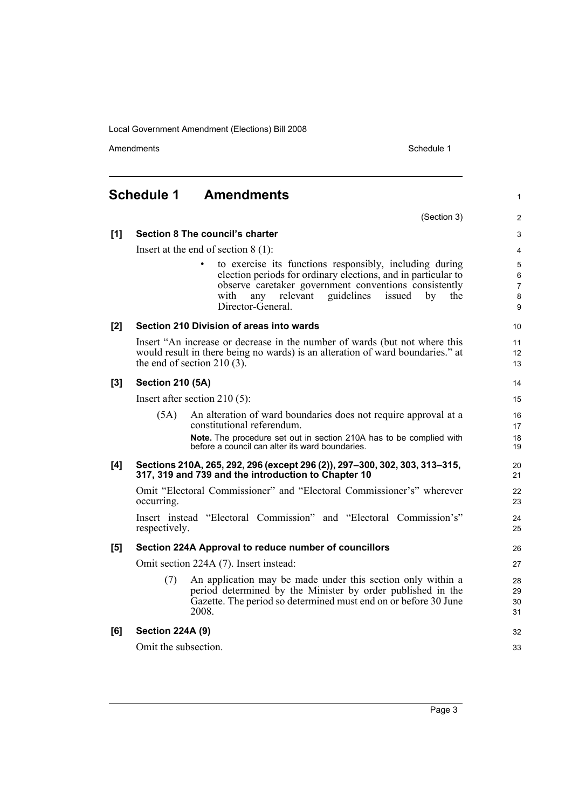Amendments **Amendments** Schedule 1

#### <span id="page-10-0"></span>**Schedule 1 Amendments** (Section 3) **[1] Section 8 The council's charter** Insert at the end of section 8 (1): to exercise its functions responsibly, including during election periods for ordinary elections, and in particular to observe caretaker government conventions consistently with any relevant guidelines issued by the Director-General. **[2] Section 210 Division of areas into wards** Insert "An increase or decrease in the number of wards (but not where this would result in there being no wards) is an alteration of ward boundaries." at the end of section 210 (3). **[3] Section 210 (5A)** Insert after section 210 (5): (5A) An alteration of ward boundaries does not require approval at a constitutional referendum. **Note.** The procedure set out in section 210A has to be complied with before a council can alter its ward boundaries. **[4] Sections 210A, 265, 292, 296 (except 296 (2)), 297–300, 302, 303, 313–315, 317, 319 and 739 and the introduction to Chapter 10** Omit "Electoral Commissioner" and "Electoral Commissioner's" wherever occurring. Insert instead "Electoral Commission" and "Electoral Commission's" respectively. **[5] Section 224A Approval to reduce number of councillors** Omit section 224A (7). Insert instead: (7) An application may be made under this section only within a period determined by the Minister by order published in the Gazette. The period so determined must end on or before 30 June 2008. **[6] Section 224A (9)** Omit the subsection. 1  $\overline{2}$ 3 4 5 6 7 8 9 10 11 12 13 14 15 16 17 18 19 20 21  $22$ 23 24 25 26 27 28 29 30 31 32 33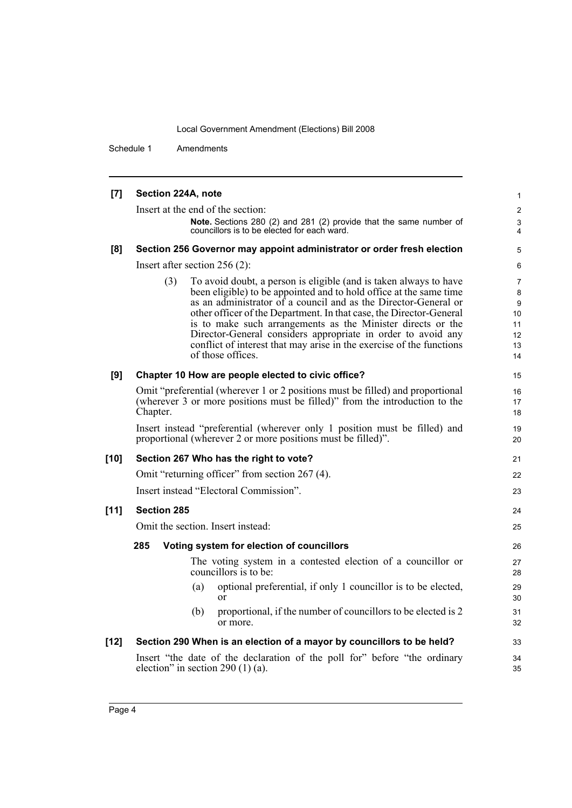Schedule 1 Amendments

| $[7]$  | Section 224A, note                                                                                                                                                                                                                                                                                                                                                                                                                                                                                                   | $\mathbf{1}$                                           |  |  |  |
|--------|----------------------------------------------------------------------------------------------------------------------------------------------------------------------------------------------------------------------------------------------------------------------------------------------------------------------------------------------------------------------------------------------------------------------------------------------------------------------------------------------------------------------|--------------------------------------------------------|--|--|--|
|        | Insert at the end of the section:                                                                                                                                                                                                                                                                                                                                                                                                                                                                                    | $\overline{2}$                                         |  |  |  |
|        | Note. Sections 280 (2) and 281 (2) provide that the same number of<br>councillors is to be elected for each ward.                                                                                                                                                                                                                                                                                                                                                                                                    | 3<br>4                                                 |  |  |  |
| [8]    | Section 256 Governor may appoint administrator or order fresh election                                                                                                                                                                                                                                                                                                                                                                                                                                               | 5                                                      |  |  |  |
|        | Insert after section $256(2)$ :                                                                                                                                                                                                                                                                                                                                                                                                                                                                                      | 6                                                      |  |  |  |
|        | To avoid doubt, a person is eligible (and is taken always to have<br>(3)<br>been eligible) to be appointed and to hold office at the same time<br>as an administrator of a council and as the Director-General or<br>other officer of the Department. In that case, the Director-General<br>is to make such arrangements as the Minister directs or the<br>Director-General considers appropriate in order to avoid any<br>conflict of interest that may arise in the exercise of the functions<br>of those offices. | $\overline{7}$<br>8<br>9<br>10<br>11<br>12<br>13<br>14 |  |  |  |
| [9]    | Chapter 10 How are people elected to civic office?                                                                                                                                                                                                                                                                                                                                                                                                                                                                   | 15                                                     |  |  |  |
|        | Omit "preferential (wherever 1 or 2 positions must be filled) and proportional<br>(wherever 3 or more positions must be filled)" from the introduction to the<br>Chapter.                                                                                                                                                                                                                                                                                                                                            |                                                        |  |  |  |
|        | Insert instead "preferential (wherever only 1 position must be filled) and<br>proportional (wherever 2 or more positions must be filled)".                                                                                                                                                                                                                                                                                                                                                                           | 19<br>20                                               |  |  |  |
| $[10]$ | Section 267 Who has the right to vote?                                                                                                                                                                                                                                                                                                                                                                                                                                                                               | 21                                                     |  |  |  |
|        | Omit "returning officer" from section 267 (4).                                                                                                                                                                                                                                                                                                                                                                                                                                                                       | 22                                                     |  |  |  |
|        | Insert instead "Electoral Commission".                                                                                                                                                                                                                                                                                                                                                                                                                                                                               | 23                                                     |  |  |  |
| $[11]$ | <b>Section 285</b>                                                                                                                                                                                                                                                                                                                                                                                                                                                                                                   | 24                                                     |  |  |  |
|        | Omit the section. Insert instead:                                                                                                                                                                                                                                                                                                                                                                                                                                                                                    | 25                                                     |  |  |  |
|        | 285<br>Voting system for election of councillors                                                                                                                                                                                                                                                                                                                                                                                                                                                                     | 26                                                     |  |  |  |
|        | The voting system in a contested election of a councillor or<br>councillors is to be:                                                                                                                                                                                                                                                                                                                                                                                                                                | 27<br>28                                               |  |  |  |
|        | optional preferential, if only 1 councillor is to be elected,<br>(a)<br>or                                                                                                                                                                                                                                                                                                                                                                                                                                           | 29<br>30                                               |  |  |  |
|        | proportional, if the number of councillors to be elected is 2<br>(b)<br>or more.                                                                                                                                                                                                                                                                                                                                                                                                                                     | 31<br>32                                               |  |  |  |
| $[12]$ | Section 290 When is an election of a mayor by councillors to be held?                                                                                                                                                                                                                                                                                                                                                                                                                                                | 33                                                     |  |  |  |
|        | Insert "the date of the declaration of the poll for" before "the ordinary<br>election" in section 290 $(1)$ (a).                                                                                                                                                                                                                                                                                                                                                                                                     | 34<br>35                                               |  |  |  |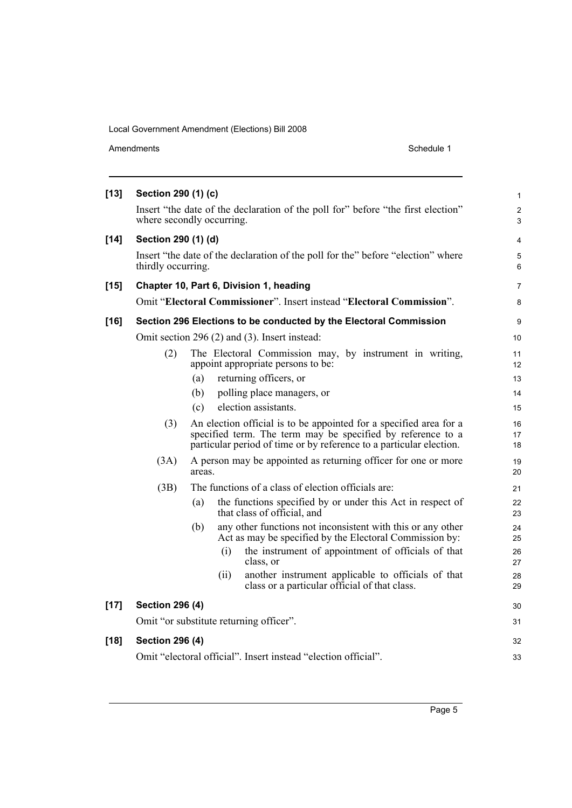| Amendments |  |
|------------|--|
|            |  |

| $[13]$ | Section 290 (1) (c)       |        |      |                                                                                                                                                                                                          | $\mathbf{1}$        |
|--------|---------------------------|--------|------|----------------------------------------------------------------------------------------------------------------------------------------------------------------------------------------------------------|---------------------|
|        | where secondly occurring. |        |      | Insert "the date of the declaration of the poll for" before "the first election"                                                                                                                         | $\overline{2}$<br>3 |
| $[14]$ | Section 290 (1) (d)       |        |      |                                                                                                                                                                                                          | $\overline{4}$      |
|        | thirdly occurring.        |        |      | Insert "the date of the declaration of the poll for the" before "election" where                                                                                                                         | 5<br>6              |
| $[15]$ |                           |        |      | Chapter 10, Part 6, Division 1, heading                                                                                                                                                                  | 7                   |
|        |                           |        |      | Omit "Electoral Commissioner". Insert instead "Electoral Commission".                                                                                                                                    | 8                   |
| $[16]$ |                           |        |      | Section 296 Elections to be conducted by the Electoral Commission                                                                                                                                        | 9                   |
|        |                           |        |      | Omit section 296 (2) and (3). Insert instead:                                                                                                                                                            | 10                  |
|        | (2)                       |        |      | The Electoral Commission may, by instrument in writing,<br>appoint appropriate persons to be:                                                                                                            | 11<br>12            |
|        |                           | (a)    |      | returning officers, or                                                                                                                                                                                   | 13                  |
|        |                           | (b)    |      | polling place managers, or                                                                                                                                                                               | 14                  |
|        |                           | (c)    |      | election assistants.                                                                                                                                                                                     | 15                  |
|        | (3)                       |        |      | An election official is to be appointed for a specified area for a<br>specified term. The term may be specified by reference to a<br>particular period of time or by reference to a particular election. | 16<br>17<br>18      |
|        | (3A)                      | areas. |      | A person may be appointed as returning officer for one or more                                                                                                                                           | 19<br>20            |
|        | (3B)                      |        |      | The functions of a class of election officials are:                                                                                                                                                      | 21                  |
|        |                           | (a)    |      | the functions specified by or under this Act in respect of<br>that class of official, and                                                                                                                | 22<br>23            |
|        |                           | (b)    |      | any other functions not inconsistent with this or any other<br>Act as may be specified by the Electoral Commission by:                                                                                   | 24<br>25            |
|        |                           |        | (i)  | the instrument of appointment of officials of that<br>class, or                                                                                                                                          | 26<br>27            |
|        |                           |        | (ii) | another instrument applicable to officials of that<br>class or a particular official of that class.                                                                                                      | 28<br>29            |
| $[17]$ | <b>Section 296 (4)</b>    |        |      |                                                                                                                                                                                                          | 30                  |
|        |                           |        |      | Omit "or substitute returning officer".                                                                                                                                                                  | 31                  |
| $[18]$ | <b>Section 296 (4)</b>    |        |      |                                                                                                                                                                                                          | 32                  |
|        |                           |        |      | Omit "electoral official". Insert instead "election official".                                                                                                                                           | 33                  |
|        |                           |        |      |                                                                                                                                                                                                          |                     |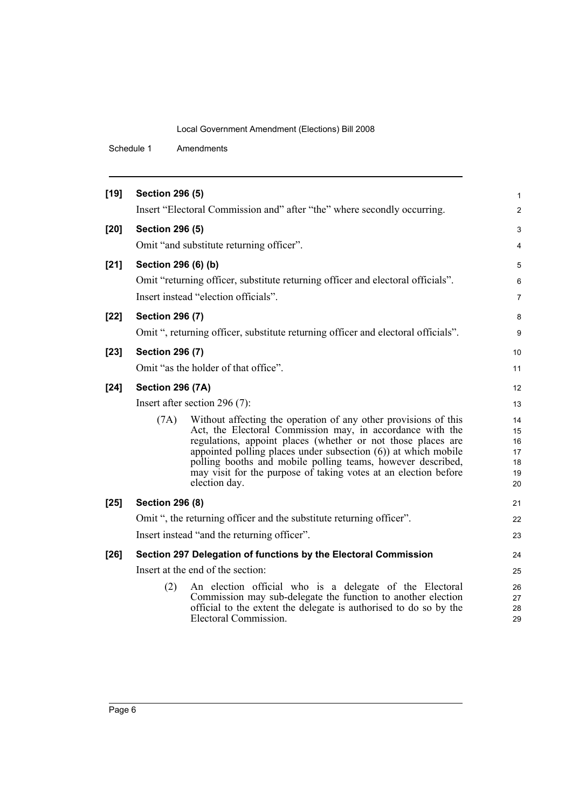Schedule 1 Amendments

| $[19]$ | <b>Section 296 (5)</b>  |                                                                                                                                   | $\mathbf{1}$   |
|--------|-------------------------|-----------------------------------------------------------------------------------------------------------------------------------|----------------|
|        |                         | Insert "Electoral Commission and" after "the" where secondly occurring.                                                           | $\mathbf{2}$   |
| $[20]$ | <b>Section 296 (5)</b>  |                                                                                                                                   | 3              |
|        |                         | Omit "and substitute returning officer".                                                                                          | 4              |
| $[21]$ | Section 296 (6) (b)     |                                                                                                                                   | 5              |
|        |                         | Omit "returning officer, substitute returning officer and electoral officials".                                                   | 6              |
|        |                         | Insert instead "election officials".                                                                                              | $\overline{7}$ |
| $[22]$ | <b>Section 296 (7)</b>  |                                                                                                                                   | 8              |
|        |                         | Omit ", returning officer, substitute returning officer and electoral officials".                                                 | 9              |
| $[23]$ | <b>Section 296 (7)</b>  |                                                                                                                                   | 10             |
|        |                         | Omit "as the holder of that office".                                                                                              | 11             |
| $[24]$ | <b>Section 296 (7A)</b> |                                                                                                                                   | 12             |
|        |                         | Insert after section 296 (7):                                                                                                     | 13             |
|        | (7A)                    | Without affecting the operation of any other provisions of this                                                                   | 14             |
|        |                         | Act, the Electoral Commission may, in accordance with the<br>regulations, appoint places (whether or not those places are         | 15<br>16       |
|        |                         | appointed polling places under subsection $(6)$ at which mobile<br>polling booths and mobile polling teams, however described,    | 17<br>18       |
|        |                         | may visit for the purpose of taking votes at an election before                                                                   | 19             |
|        |                         | election day.                                                                                                                     | 20             |
| $[25]$ | <b>Section 296 (8)</b>  |                                                                                                                                   | 21             |
|        |                         | Omit ", the returning officer and the substitute returning officer".                                                              | 22             |
|        |                         | Insert instead "and the returning officer".                                                                                       | 23             |
| $[26]$ |                         | Section 297 Delegation of functions by the Electoral Commission                                                                   | 24             |
|        |                         | Insert at the end of the section:                                                                                                 | 25             |
|        | (2)                     | An election official who is a delegate of the Electoral                                                                           | 26             |
|        |                         | Commission may sub-delegate the function to another election<br>official to the extent the delegate is authorised to do so by the | 27<br>28       |
|        |                         | Electoral Commission.                                                                                                             | 29             |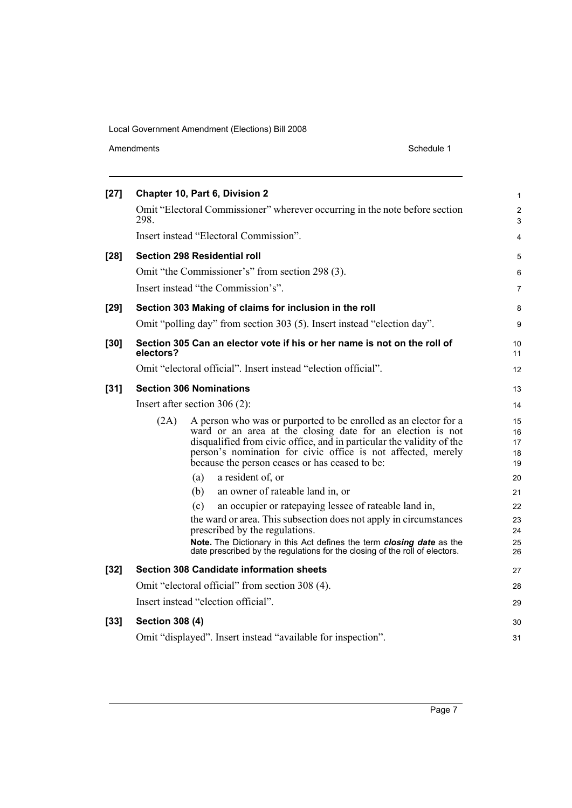| $[27]$ | Chapter 10, Part 6, Division 2                                                                                                                                                                                                                                                                                                    | $\mathbf{1}$               |
|--------|-----------------------------------------------------------------------------------------------------------------------------------------------------------------------------------------------------------------------------------------------------------------------------------------------------------------------------------|----------------------------|
|        | Omit "Electoral Commissioner" wherever occurring in the note before section<br>298.                                                                                                                                                                                                                                               | 2<br>$\mathfrak{S}$        |
|        | Insert instead "Electoral Commission".                                                                                                                                                                                                                                                                                            | 4                          |
| $[28]$ | Section 298 Residential roll                                                                                                                                                                                                                                                                                                      | 5                          |
|        | Omit "the Commissioner's" from section 298 (3).                                                                                                                                                                                                                                                                                   | 6                          |
|        | Insert instead "the Commission's".                                                                                                                                                                                                                                                                                                | 7                          |
| $[29]$ | Section 303 Making of claims for inclusion in the roll                                                                                                                                                                                                                                                                            | 8                          |
|        | Omit "polling day" from section 303 (5). Insert instead "election day".                                                                                                                                                                                                                                                           | 9                          |
| $[30]$ | Section 305 Can an elector vote if his or her name is not on the roll of<br>electors?                                                                                                                                                                                                                                             | 10<br>11                   |
|        | Omit "electoral official". Insert instead "election official".                                                                                                                                                                                                                                                                    | 12                         |
| $[31]$ | <b>Section 306 Nominations</b>                                                                                                                                                                                                                                                                                                    | 13                         |
|        | Insert after section $306(2)$ :                                                                                                                                                                                                                                                                                                   | 14                         |
|        | A person who was or purported to be enrolled as an elector for a<br>(2A)<br>ward or an area at the closing date for an election is not<br>disqualified from civic office, and in particular the validity of the<br>person's nomination for civic office is not affected, merely<br>because the person ceases or has ceased to be: | 15<br>16<br>17<br>18<br>19 |
|        | a resident of, or<br>(a)                                                                                                                                                                                                                                                                                                          | 20                         |
|        | (b)<br>an owner of rateable land in, or                                                                                                                                                                                                                                                                                           | 21                         |
|        | an occupier or rate paying lessee of rateable land in,<br>(c)                                                                                                                                                                                                                                                                     | 22                         |
|        | the ward or area. This subsection does not apply in circumstances<br>prescribed by the regulations.                                                                                                                                                                                                                               | 23<br>24                   |
|        | Note. The Dictionary in this Act defines the term closing date as the<br>date prescribed by the regulations for the closing of the roll of electors.                                                                                                                                                                              | 25<br>26                   |
| $[32]$ | <b>Section 308 Candidate information sheets</b>                                                                                                                                                                                                                                                                                   | 27                         |
|        | Omit "electoral official" from section 308 (4).                                                                                                                                                                                                                                                                                   | 28                         |
|        | Insert instead "election official".                                                                                                                                                                                                                                                                                               | 29                         |
| $[33]$ | <b>Section 308 (4)</b>                                                                                                                                                                                                                                                                                                            | 30                         |
|        | Omit "displayed". Insert instead "available for inspection".                                                                                                                                                                                                                                                                      | 31                         |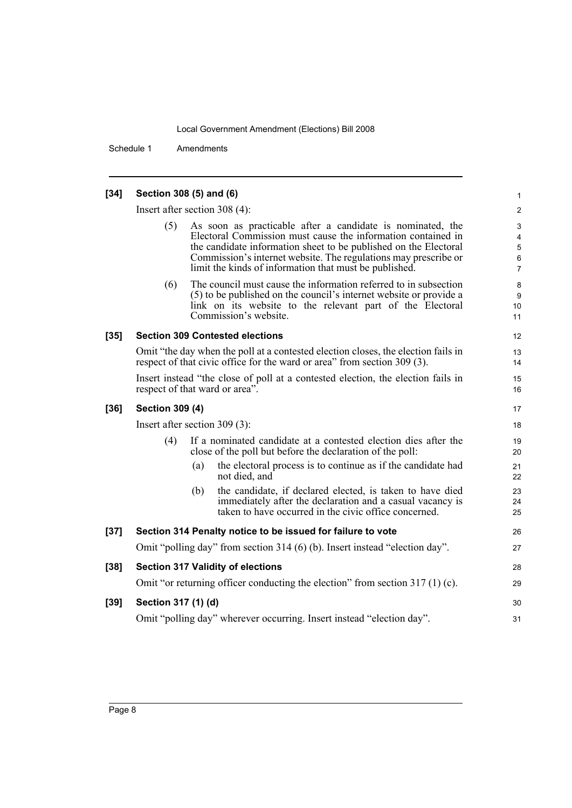28 29

30 31

Schedule 1 Amendments

### **[34] Section 308 (5) and (6)** Insert after section 308 (4): As soon as practicable after a candidate is nominated, the Electoral Commission must cause the information contained in the candidate information sheet to be published on the Electoral Commission's internet website. The regulations may prescribe or limit the kinds of information that must be published. (6) The council must cause the information referred to in subsection (5) to be published on the council's internet website or provide a link on its website to the relevant part of the Electoral Commission's website. **[35] Section 309 Contested elections** Omit "the day when the poll at a contested election closes, the election fails in respect of that civic office for the ward or area" from section 309 (3). Insert instead "the close of poll at a contested election, the election fails in respect of that ward or area". **[36] Section 309 (4)** Insert after section 309 (3): (4) If a nominated candidate at a contested election dies after the close of the poll but before the declaration of the poll: (a) the electoral process is to continue as if the candidate had not died, and (b) the candidate, if declared elected, is taken to have died immediately after the declaration and a casual vacancy is taken to have occurred in the civic office concerned. **[37] Section 314 Penalty notice to be issued for failure to vote** Omit "polling day" from section 314 (6) (b). Insert instead "election day". **[38] Section 317 Validity of elections** Omit "or returning officer conducting the election" from section 317 (1) (c). **[39] Section 317 (1) (d)** Omit "polling day" wherever occurring. Insert instead "election day".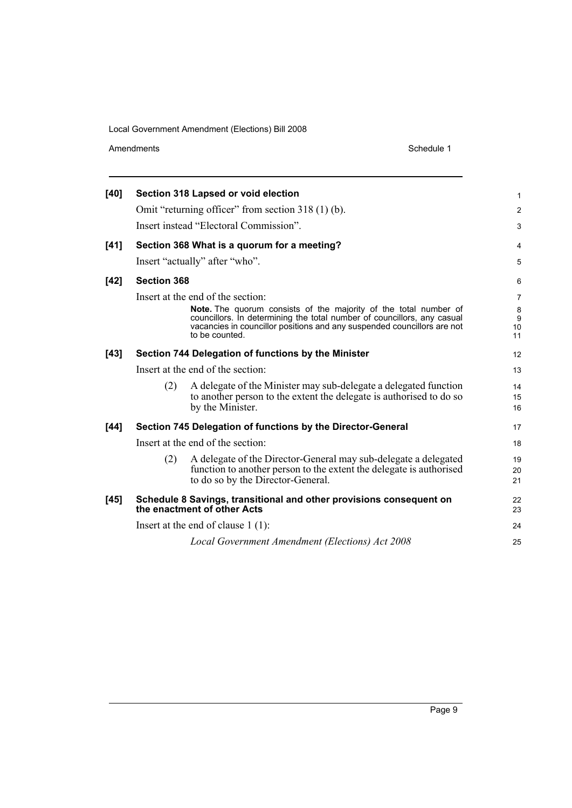Amendments Schedule 1

| [40]   |                                   | Section 318 Lapsed or void election                                                                                                                                                                                                             | $\mathbf{1}$       |  |  |
|--------|-----------------------------------|-------------------------------------------------------------------------------------------------------------------------------------------------------------------------------------------------------------------------------------------------|--------------------|--|--|
|        |                                   | Omit "returning officer" from section 318 (1) (b).                                                                                                                                                                                              | $\overline{2}$     |  |  |
|        |                                   | Insert instead "Electoral Commission".                                                                                                                                                                                                          | 3                  |  |  |
| $[41]$ |                                   | Section 368 What is a quorum for a meeting?                                                                                                                                                                                                     | $\overline{4}$     |  |  |
|        |                                   | Insert "actually" after "who".                                                                                                                                                                                                                  | 5                  |  |  |
| $[42]$ | <b>Section 368</b>                |                                                                                                                                                                                                                                                 | 6                  |  |  |
|        |                                   | Insert at the end of the section:                                                                                                                                                                                                               | $\overline{7}$     |  |  |
|        |                                   | <b>Note.</b> The quorum consists of the majority of the total number of<br>councillors. In determining the total number of councillors, any casual<br>vacancies in councillor positions and any suspended councillors are not<br>to be counted. | 8<br>9<br>10<br>11 |  |  |
| $[43]$ |                                   | Section 744 Delegation of functions by the Minister                                                                                                                                                                                             | 12                 |  |  |
|        |                                   | Insert at the end of the section:                                                                                                                                                                                                               | 13                 |  |  |
|        | (2)                               | A delegate of the Minister may sub-delegate a delegated function<br>to another person to the extent the delegate is authorised to do so<br>by the Minister.                                                                                     | 14<br>15<br>16     |  |  |
| $[44]$ |                                   | Section 745 Delegation of functions by the Director-General                                                                                                                                                                                     | 17                 |  |  |
|        | Insert at the end of the section: |                                                                                                                                                                                                                                                 |                    |  |  |
|        | (2)                               | A delegate of the Director-General may sub-delegate a delegated<br>function to another person to the extent the delegate is authorised<br>to do so by the Director-General.                                                                     | 19<br>20<br>21     |  |  |
| $[45]$ |                                   | Schedule 8 Savings, transitional and other provisions consequent on<br>the enactment of other Acts                                                                                                                                              | 22<br>23           |  |  |
|        |                                   | Insert at the end of clause $1(1)$ :                                                                                                                                                                                                            | 24                 |  |  |
|        |                                   | Local Government Amendment (Elections) Act 2008                                                                                                                                                                                                 | 25                 |  |  |